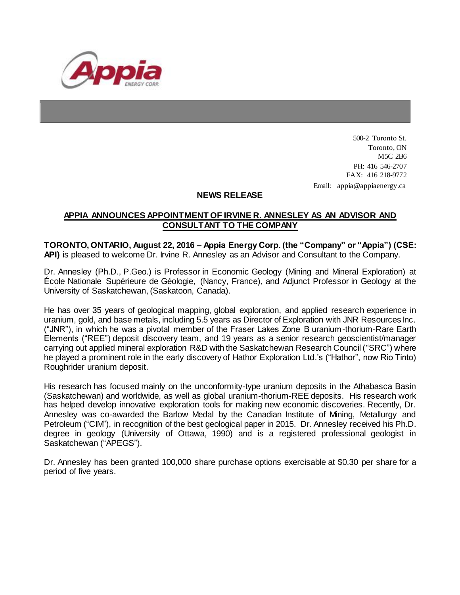

500-2 Toronto St. Toronto, ON M5C 2B6 PH: 416 546-2707 FAX: 416 218-9772 Email: appia@appiaenergy.ca

## **NEWS RELEASE**

## **APPIA ANNOUNCES APPOINTMENT OF IRVINE R. ANNESLEY AS AN ADVISOR AND CONSULTANT TO THE COMPANY**

**TORONTO, ONTARIO, August 22, 2016 – Appia Energy Corp. (the "Company" or "Appia") (CSE: API)** is pleased to welcome Dr. Irvine R. Annesley as an Advisor and Consultant to the Company.

Dr. Annesley (Ph.D., P.Geo.) is Professor in Economic Geology (Mining and Mineral Exploration) at École Nationale Supérieure de Géologie, (Nancy, France), and Adjunct Professor in Geology at the University of Saskatchewan, (Saskatoon, Canada).

He has over 35 years of geological mapping, global exploration, and applied research experience in uranium, gold, and base metals, including 5.5 years as Director of Exploration with JNR Resources Inc. ("JNR"), in which he was a pivotal member of the Fraser Lakes Zone B uranium-thorium-Rare Earth Elements ("REE") deposit discovery team, and 19 years as a senior research geoscientist/manager carrying out applied mineral exploration R&D with the Saskatchewan Research Council ("SRC") where he played a prominent role in the early discovery of Hathor Exploration Ltd.'s ("Hathor", now Rio Tinto) Roughrider uranium deposit.

His research has focused mainly on the unconformity-type uranium deposits in the Athabasca Basin (Saskatchewan) and worldwide, as well as global uranium-thorium-REE deposits. His research work has helped develop innovative exploration tools for making new economic discoveries. Recently, Dr. Annesley was co-awarded the Barlow Medal by the Canadian Institute of Mining, Metallurgy and Petroleum ("CIM"), in recognition of the best geological paper in 2015. Dr. Annesley received his Ph.D. degree in geology (University of Ottawa, 1990) and is a registered professional geologist in Saskatchewan ("APEGS").

Dr. Annesley has been granted 100,000 share purchase options exercisable at \$0.30 per share for a period of five years.